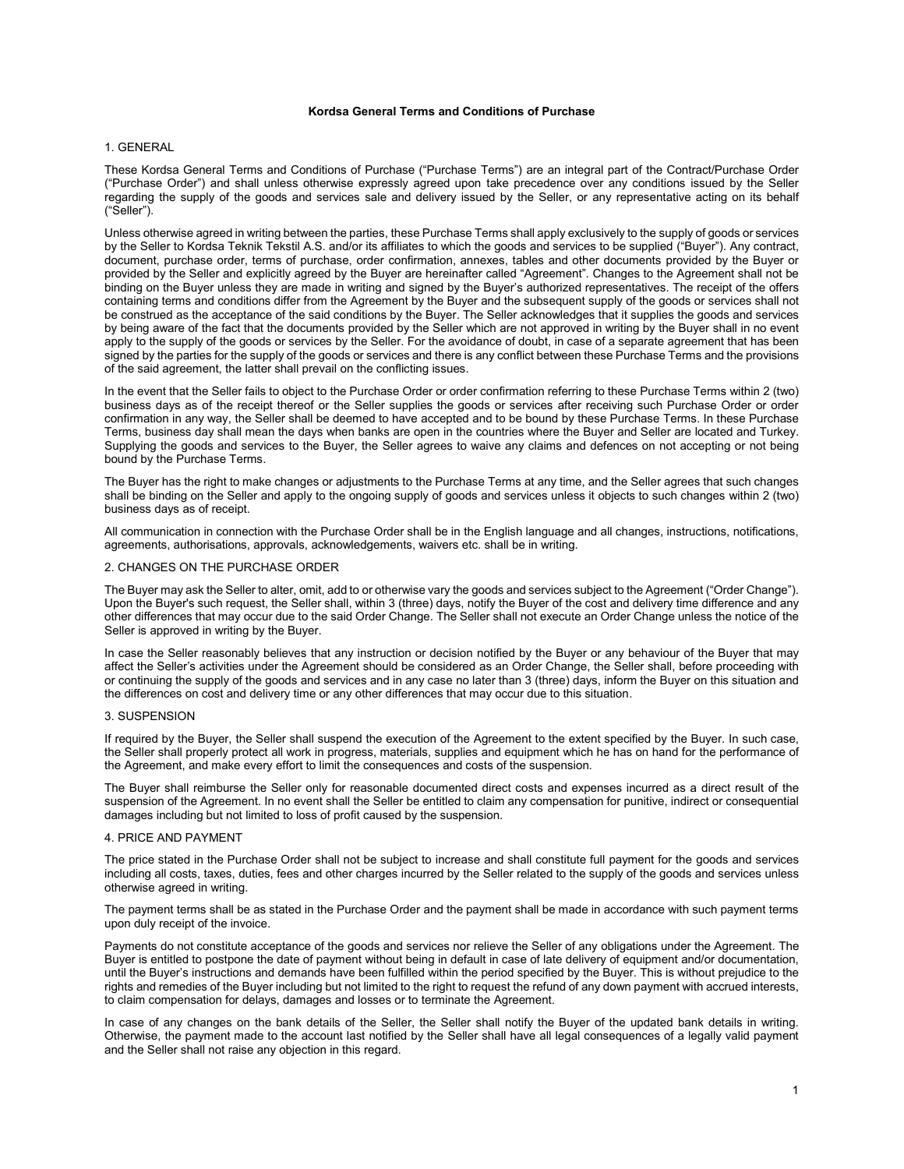# **Kordsa General Terms and Conditions of Purchase**

# 1. GENERAL

These Kordsa General Terms and Conditions of Purchase ("Purchase Terms") are an integral part of the Contract/Purchase Order ("Purchase Order") and shall unless otherwise expressly agreed upon take precedence over any conditions issued by the Seller regarding the supply of the goods and services sale and delivery issued by the Seller, or any representative acting on its behalf ("Seller").

Unless otherwise agreed in writing between the parties, these Purchase Terms shall apply exclusively to the supply of goods or services by the Seller to Kordsa Teknik Tekstil A.S. and/or its affiliates to which the goods and services to be supplied ("Buyer"). Any contract, document, purchase order, terms of purchase, order confirmation, annexes, tables and other documents provided by the Buyer or provided by the Seller and explicitly agreed by the Buyer are hereinafter called "Agreement". Changes to the Agreement shall not be binding on the Buyer unless they are made in writing and signed by the Buyer's authorized representatives. The receipt of the offers containing terms and conditions differ from the Agreement by the Buyer and the subsequent supply of the goods or services shall not be construed as the acceptance of the said conditions by the Buyer. The Seller acknowledges that it supplies the goods and services by being aware of the fact that the documents provided by the Seller which are not approved in writing by the Buyer shall in no event apply to the supply of the goods or services by the Seller. For the avoidance of doubt, in case of a separate agreement that has been signed by the parties for the supply of the goods or services and there is any conflict between these Purchase Terms and the provisions of the said agreement, the latter shall prevail on the conflicting issues.

In the event that the Seller fails to object to the Purchase Order or order confirmation referring to these Purchase Terms within 2 (two) business days as of the receipt thereof or the Seller supplies the goods or services after receiving such Purchase Order or order confirmation in any way, the Seller shall be deemed to have accepted and to be bound by these Purchase Terms. In these Purchase Terms, business day shall mean the days when banks are open in the countries where the Buyer and Seller are located and Turkey. Supplying the goods and services to the Buyer, the Seller agrees to waive any claims and defences on not accepting or not being bound by the Purchase Terms.

The Buyer has the right to make changes or adjustments to the Purchase Terms at any time, and the Seller agrees that such changes shall be binding on the Seller and apply to the ongoing supply of goods and services unless it objects to such changes within 2 (two) business days as of receipt.

All communication in connection with the Purchase Order shall be in the English language and all changes, instructions, notifications, agreements, authorisations, approvals, acknowledgements, waivers etc. shall be in writing.

# 2. CHANGES ON THE PURCHASE ORDER

The Buyer may ask the Seller to alter, omit, add to or otherwise vary the goods and services subject to the Agreement ("Order Change"). Upon the Buyer's such request, the Seller shall, within 3 (three) days, notify the Buyer of the cost and delivery time difference and any other differences that may occur due to the said Order Change. The Seller shall not execute an Order Change unless the notice of the Seller is approved in writing by the Buyer.

In case the Seller reasonably believes that any instruction or decision notified by the Buyer or any behaviour of the Buyer that may affect the Seller's activities under the Agreement should be considered as an Order Change, the Seller shall, before proceeding with or continuing the supply of the goods and services and in any case no later than 3 (three) days, inform the Buyer on this situation and the differences on cost and delivery time or any other differences that may occur due to this situation.

### 3. SUSPENSION

If required by the Buyer, the Seller shall suspend the execution of the Agreement to the extent specified by the Buyer. In such case, the Seller shall properly protect all work in progress, materials, supplies and equipment which he has on hand for the performance of the Agreement, and make every effort to limit the consequences and costs of the suspension.

The Buyer shall reimburse the Seller only for reasonable documented direct costs and expenses incurred as a direct result of the suspension of the Agreement. In no event shall the Seller be entitled to claim any compensation for punitive, indirect or consequential damages including but not limited to loss of profit caused by the suspension.

### 4. PRICE AND PAYMENT

The price stated in the Purchase Order shall not be subject to increase and shall constitute full payment for the goods and services including all costs, taxes, duties, fees and other charges incurred by the Seller related to the supply of the goods and services unless otherwise agreed in writing.

The payment terms shall be as stated in the Purchase Order and the payment shall be made in accordance with such payment terms upon duly receipt of the invoice.

Payments do not constitute acceptance of the goods and services nor relieve the Seller of any obligations under the Agreement. The Buyer is entitled to postpone the date of payment without being in default in case of late delivery of equipment and/or documentation, until the Buyer's instructions and demands have been fulfilled within the period specified by the Buyer. This is without prejudice to the rights and remedies of the Buyer including but not limited to the right to request the refund of any down payment with accrued interests, to claim compensation for delays, damages and losses or to terminate the Agreement.

In case of any changes on the bank details of the Seller, the Seller shall notify the Buyer of the updated bank details in writing. Otherwise, the payment made to the account last notified by the Seller shall have all legal consequences of a legally valid payment and the Seller shall not raise any objection in this regard.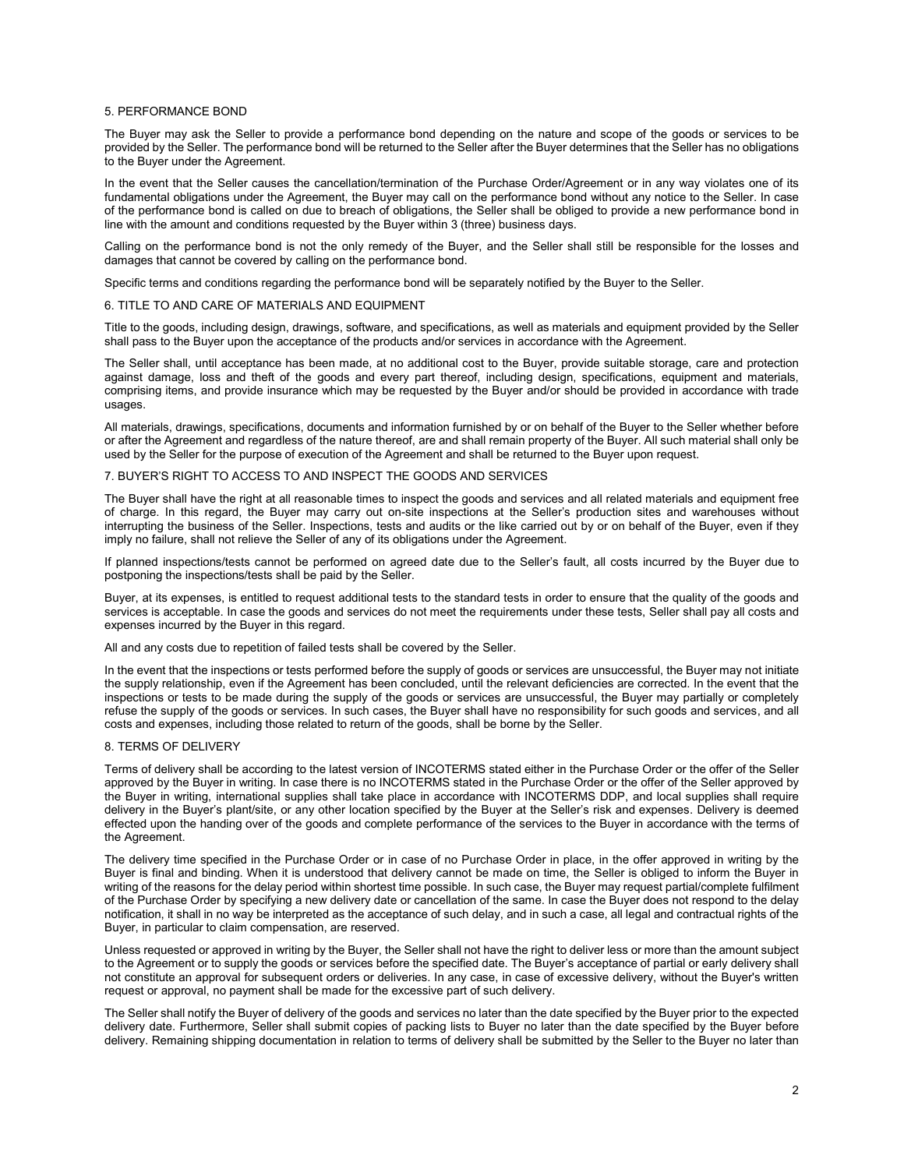#### 5. PERFORMANCE BOND

The Buyer may ask the Seller to provide a performance bond depending on the nature and scope of the goods or services to be provided by the Seller. The performance bond will be returned to the Seller after the Buyer determines that the Seller has no obligations to the Buyer under the Agreement.

In the event that the Seller causes the cancellation/termination of the Purchase Order/Agreement or in any way violates one of its fundamental obligations under the Agreement, the Buyer may call on the performance bond without any notice to the Seller. In case of the performance bond is called on due to breach of obligations, the Seller shall be obliged to provide a new performance bond in line with the amount and conditions requested by the Buyer within 3 (three) business days.

Calling on the performance bond is not the only remedy of the Buyer, and the Seller shall still be responsible for the losses and damages that cannot be covered by calling on the performance bond.

Specific terms and conditions regarding the performance bond will be separately notified by the Buyer to the Seller.

### 6. TITLE TO AND CARE OF MATERIALS AND EQUIPMENT

Title to the goods, including design, drawings, software, and specifications, as well as materials and equipment provided by the Seller shall pass to the Buyer upon the acceptance of the products and/or services in accordance with the Agreement.

The Seller shall, until acceptance has been made, at no additional cost to the Buyer, provide suitable storage, care and protection against damage, loss and theft of the goods and every part thereof, including design, specifications, equipment and materials, comprising items, and provide insurance which may be requested by the Buyer and/or should be provided in accordance with trade usages.

All materials, drawings, specifications, documents and information furnished by or on behalf of the Buyer to the Seller whether before or after the Agreement and regardless of the nature thereof, are and shall remain property of the Buyer. All such material shall only be used by the Seller for the purpose of execution of the Agreement and shall be returned to the Buyer upon request.

### 7. BUYER'S RIGHT TO ACCESS TO AND INSPECT THE GOODS AND SERVICES

The Buyer shall have the right at all reasonable times to inspect the goods and services and all related materials and equipment free of charge. In this regard, the Buyer may carry out on-site inspections at the Seller's production sites and warehouses without interrupting the business of the Seller. Inspections, tests and audits or the like carried out by or on behalf of the Buyer, even if they imply no failure, shall not relieve the Seller of any of its obligations under the Agreement.

If planned inspections/tests cannot be performed on agreed date due to the Seller's fault, all costs incurred by the Buyer due to postponing the inspections/tests shall be paid by the Seller.

Buyer, at its expenses, is entitled to request additional tests to the standard tests in order to ensure that the quality of the goods and services is acceptable. In case the goods and services do not meet the requirements under these tests, Seller shall pay all costs and expenses incurred by the Buyer in this regard.

All and any costs due to repetition of failed tests shall be covered by the Seller.

In the event that the inspections or tests performed before the supply of goods or services are unsuccessful, the Buyer may not initiate the supply relationship, even if the Agreement has been concluded, until the relevant deficiencies are corrected. In the event that the inspections or tests to be made during the supply of the goods or services are unsuccessful, the Buyer may partially or completely refuse the supply of the goods or services. In such cases, the Buyer shall have no responsibility for such goods and services, and all costs and expenses, including those related to return of the goods, shall be borne by the Seller.

# 8. TERMS OF DELIVERY

Terms of delivery shall be according to the latest version of INCOTERMS stated either in the Purchase Order or the offer of the Seller approved by the Buyer in writing. In case there is no INCOTERMS stated in the Purchase Order or the offer of the Seller approved by the Buyer in writing, international supplies shall take place in accordance with INCOTERMS DDP, and local supplies shall require delivery in the Buyer's plant/site, or any other location specified by the Buyer at the Seller's risk and expenses. Delivery is deemed effected upon the handing over of the goods and complete performance of the services to the Buyer in accordance with the terms of the Agreement.

The delivery time specified in the Purchase Order or in case of no Purchase Order in place, in the offer approved in writing by the Buyer is final and binding. When it is understood that delivery cannot be made on time, the Seller is obliged to inform the Buyer in writing of the reasons for the delay period within shortest time possible. In such case, the Buyer may request partial/complete fulfilment of the Purchase Order by specifying a new delivery date or cancellation of the same. In case the Buyer does not respond to the delay notification, it shall in no way be interpreted as the acceptance of such delay, and in such a case, all legal and contractual rights of the Buyer, in particular to claim compensation, are reserved.

Unless requested or approved in writing by the Buyer, the Seller shall not have the right to deliver less or more than the amount subject to the Agreement or to supply the goods or services before the specified date. The Buyer's acceptance of partial or early delivery shall not constitute an approval for subsequent orders or deliveries. In any case, in case of excessive delivery, without the Buyer's written request or approval, no payment shall be made for the excessive part of such delivery.

The Seller shall notify the Buyer of delivery of the goods and services no later than the date specified by the Buyer prior to the expected delivery date. Furthermore, Seller shall submit copies of packing lists to Buyer no later than the date specified by the Buyer before delivery. Remaining shipping documentation in relation to terms of delivery shall be submitted by the Seller to the Buyer no later than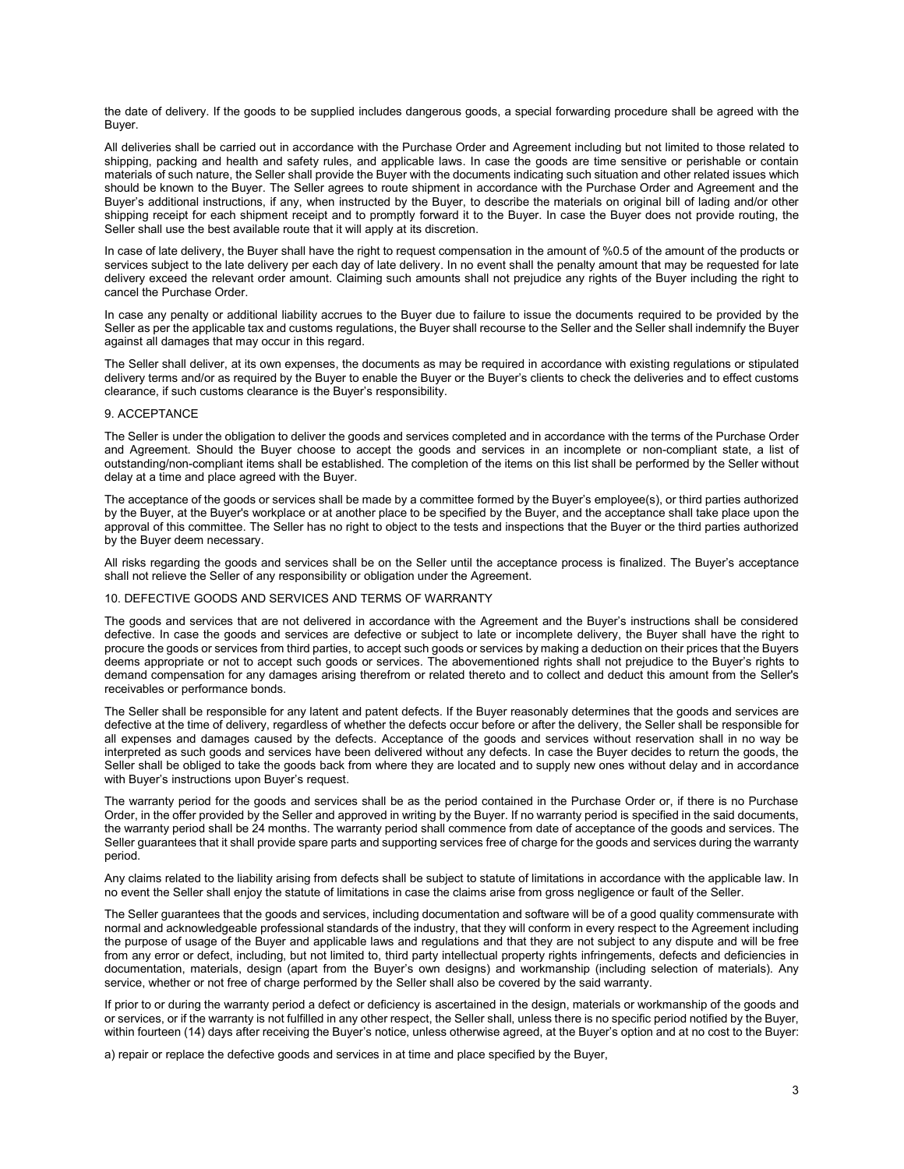the date of delivery. If the goods to be supplied includes dangerous goods, a special forwarding procedure shall be agreed with the Buyer.

All deliveries shall be carried out in accordance with the Purchase Order and Agreement including but not limited to those related to shipping, packing and health and safety rules, and applicable laws. In case the goods are time sensitive or perishable or contain materials of such nature, the Seller shall provide the Buyer with the documents indicating such situation and other related issues which should be known to the Buyer. The Seller agrees to route shipment in accordance with the Purchase Order and Agreement and the Buyer's additional instructions, if any, when instructed by the Buyer, to describe the materials on original bill of lading and/or other shipping receipt for each shipment receipt and to promptly forward it to the Buyer. In case the Buyer does not provide routing, the Seller shall use the best available route that it will apply at its discretion.

In case of late delivery, the Buyer shall have the right to request compensation in the amount of %0.5 of the amount of the products or services subject to the late delivery per each day of late delivery. In no event shall the penalty amount that may be requested for late delivery exceed the relevant order amount. Claiming such amounts shall not prejudice any rights of the Buyer including the right to cancel the Purchase Order.

In case any penalty or additional liability accrues to the Buyer due to failure to issue the documents required to be provided by the Seller as per the applicable tax and customs regulations, the Buyer shall recourse to the Seller and the Seller shall indemnify the Buyer against all damages that may occur in this regard.

The Seller shall deliver, at its own expenses, the documents as may be required in accordance with existing regulations or stipulated delivery terms and/or as required by the Buyer to enable the Buyer or the Buyer's clients to check the deliveries and to effect customs clearance, if such customs clearance is the Buyer's responsibility.

### 9. ACCEPTANCE

The Seller is under the obligation to deliver the goods and services completed and in accordance with the terms of the Purchase Order and Agreement. Should the Buyer choose to accept the goods and services in an incomplete or non-compliant state, a list of outstanding/non-compliant items shall be established. The completion of the items on this list shall be performed by the Seller without delay at a time and place agreed with the Buyer.

The acceptance of the goods or services shall be made by a committee formed by the Buyer's employee(s), or third parties authorized by the Buyer, at the Buyer's workplace or at another place to be specified by the Buyer, and the acceptance shall take place upon the approval of this committee. The Seller has no right to object to the tests and inspections that the Buyer or the third parties authorized by the Buyer deem necessary.

All risks regarding the goods and services shall be on the Seller until the acceptance process is finalized. The Buyer's acceptance shall not relieve the Seller of any responsibility or obligation under the Agreement.

# 10. DEFECTIVE GOODS AND SERVICES AND TERMS OF WARRANTY

The goods and services that are not delivered in accordance with the Agreement and the Buyer's instructions shall be considered defective. In case the goods and services are defective or subject to late or incomplete delivery, the Buyer shall have the right to procure the goods or services from third parties, to accept such goods or services by making a deduction on their prices that the Buyers deems appropriate or not to accept such goods or services. The abovementioned rights shall not prejudice to the Buyer's rights to demand compensation for any damages arising therefrom or related thereto and to collect and deduct this amount from the Seller's receivables or performance bonds.

The Seller shall be responsible for any latent and patent defects. If the Buyer reasonably determines that the goods and services are defective at the time of delivery, regardless of whether the defects occur before or after the delivery, the Seller shall be responsible for all expenses and damages caused by the defects. Acceptance of the goods and services without reservation shall in no way be interpreted as such goods and services have been delivered without any defects. In case the Buyer decides to return the goods, the Seller shall be obliged to take the goods back from where they are located and to supply new ones without delay and in accordance with Buyer's instructions upon Buyer's request.

The warranty period for the goods and services shall be as the period contained in the Purchase Order or, if there is no Purchase Order, in the offer provided by the Seller and approved in writing by the Buyer. If no warranty period is specified in the said documents, the warranty period shall be 24 months. The warranty period shall commence from date of acceptance of the goods and services. The Seller guarantees that it shall provide spare parts and supporting services free of charge for the goods and services during the warranty period.

Any claims related to the liability arising from defects shall be subject to statute of limitations in accordance with the applicable law. In no event the Seller shall enjoy the statute of limitations in case the claims arise from gross negligence or fault of the Seller.

The Seller guarantees that the goods and services, including documentation and software will be of a good quality commensurate with normal and acknowledgeable professional standards of the industry, that they will conform in every respect to the Agreement including the purpose of usage of the Buyer and applicable laws and regulations and that they are not subject to any dispute and will be free from any error or defect, including, but not limited to, third party intellectual property rights infringements, defects and deficiencies in documentation, materials, design (apart from the Buyer's own designs) and workmanship (including selection of materials). Any service, whether or not free of charge performed by the Seller shall also be covered by the said warranty.

If prior to or during the warranty period a defect or deficiency is ascertained in the design, materials or workmanship of the goods and or services, or if the warranty is not fulfilled in any other respect, the Seller shall, unless there is no specific period notified by the Buyer, within fourteen (14) days after receiving the Buyer's notice, unless otherwise agreed, at the Buyer's option and at no cost to the Buyer:

a) repair or replace the defective goods and services in at time and place specified by the Buyer,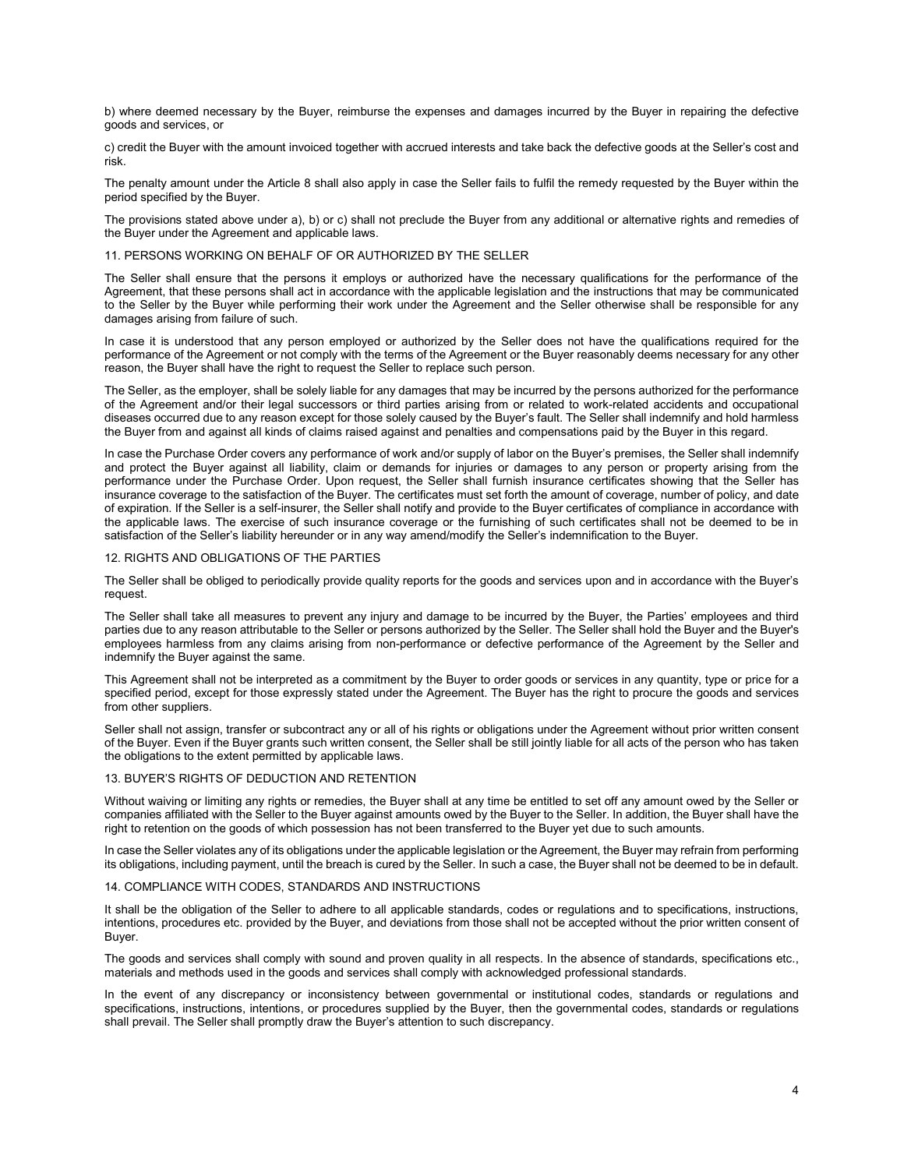b) where deemed necessary by the Buyer, reimburse the expenses and damages incurred by the Buyer in repairing the defective goods and services, or

c) credit the Buyer with the amount invoiced together with accrued interests and take back the defective goods at the Seller's cost and risk.

The penalty amount under the Article 8 shall also apply in case the Seller fails to fulfil the remedy requested by the Buyer within the period specified by the Buyer.

The provisions stated above under a), b) or c) shall not preclude the Buyer from any additional or alternative rights and remedies of the Buyer under the Agreement and applicable laws.

# 11. PERSONS WORKING ON BEHALF OF OR AUTHORIZED BY THE SELLER

The Seller shall ensure that the persons it employs or authorized have the necessary qualifications for the performance of the Agreement, that these persons shall act in accordance with the applicable legislation and the instructions that may be communicated to the Seller by the Buyer while performing their work under the Agreement and the Seller otherwise shall be responsible for any damages arising from failure of such.

In case it is understood that any person employed or authorized by the Seller does not have the qualifications required for the performance of the Agreement or not comply with the terms of the Agreement or the Buyer reasonably deems necessary for any other reason, the Buyer shall have the right to request the Seller to replace such person.

The Seller, as the employer, shall be solely liable for any damages that may be incurred by the persons authorized for the performance of the Agreement and/or their legal successors or third parties arising from or related to work-related accidents and occupational diseases occurred due to any reason except for those solely caused by the Buyer's fault. The Seller shall indemnify and hold harmless the Buyer from and against all kinds of claims raised against and penalties and compensations paid by the Buyer in this regard.

In case the Purchase Order covers any performance of work and/or supply of labor on the Buyer's premises, the Seller shall indemnify and protect the Buyer against all liability, claim or demands for injuries or damages to any person or property arising from the performance under the Purchase Order. Upon request, the Seller shall furnish insurance certificates showing that the Seller has insurance coverage to the satisfaction of the Buyer. The certificates must set forth the amount of coverage, number of policy, and date of expiration. If the Seller is a self-insurer, the Seller shall notify and provide to the Buyer certificates of compliance in accordance with the applicable laws. The exercise of such insurance coverage or the furnishing of such certificates shall not be deemed to be in satisfaction of the Seller's liability hereunder or in any way amend/modify the Seller's indemnification to the Buyer.

#### 12. RIGHTS AND OBLIGATIONS OF THE PARTIES

The Seller shall be obliged to periodically provide quality reports for the goods and services upon and in accordance with the Buyer's request.

The Seller shall take all measures to prevent any injury and damage to be incurred by the Buyer, the Parties' employees and third parties due to any reason attributable to the Seller or persons authorized by the Seller. The Seller shall hold the Buyer and the Buyer's employees harmless from any claims arising from non-performance or defective performance of the Agreement by the Seller and indemnify the Buyer against the same.

This Agreement shall not be interpreted as a commitment by the Buyer to order goods or services in any quantity, type or price for a specified period, except for those expressly stated under the Agreement. The Buyer has the right to procure the goods and services from other suppliers.

Seller shall not assign, transfer or subcontract any or all of his rights or obligations under the Agreement without prior written consent of the Buyer. Even if the Buyer grants such written consent, the Seller shall be still jointly liable for all acts of the person who has taken the obligations to the extent permitted by applicable laws.

# 13. BUYER'S RIGHTS OF DEDUCTION AND RETENTION

Without waiving or limiting any rights or remedies, the Buyer shall at any time be entitled to set off any amount owed by the Seller or companies affiliated with the Seller to the Buyer against amounts owed by the Buyer to the Seller. In addition, the Buyer shall have the right to retention on the goods of which possession has not been transferred to the Buyer yet due to such amounts.

In case the Seller violates any of its obligations under the applicable legislation or the Agreement, the Buyer may refrain from performing its obligations, including payment, until the breach is cured by the Seller. In such a case, the Buyer shall not be deemed to be in default.

# 14. COMPLIANCE WITH CODES, STANDARDS AND INSTRUCTIONS

It shall be the obligation of the Seller to adhere to all applicable standards, codes or regulations and to specifications, instructions, intentions, procedures etc. provided by the Buyer, and deviations from those shall not be accepted without the prior written consent of Buyer.

The goods and services shall comply with sound and proven quality in all respects. In the absence of standards, specifications etc., materials and methods used in the goods and services shall comply with acknowledged professional standards.

In the event of any discrepancy or inconsistency between governmental or institutional codes, standards or regulations and specifications, instructions, intentions, or procedures supplied by the Buyer, then the governmental codes, standards or regulations shall prevail. The Seller shall promptly draw the Buyer's attention to such discrepancy.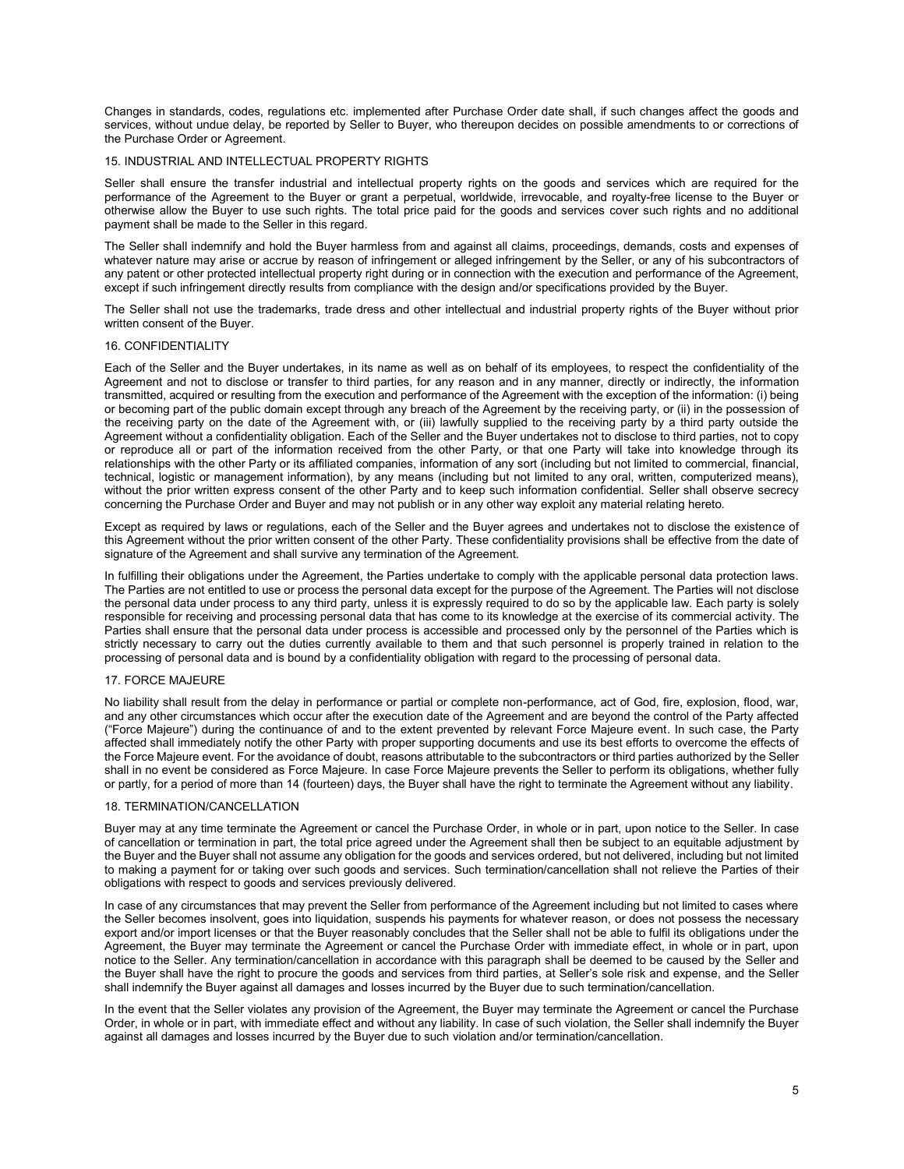Changes in standards, codes, regulations etc. implemented after Purchase Order date shall, if such changes affect the goods and services, without undue delay, be reported by Seller to Buyer, who thereupon decides on possible amendments to or corrections of the Purchase Order or Agreement.

### 15. INDUSTRIAL AND INTELLECTUAL PROPERTY RIGHTS

Seller shall ensure the transfer industrial and intellectual property rights on the goods and services which are required for the performance of the Agreement to the Buyer or grant a perpetual, worldwide, irrevocable, and royalty-free license to the Buyer or otherwise allow the Buyer to use such rights. The total price paid for the goods and services cover such rights and no additional payment shall be made to the Seller in this regard.

The Seller shall indemnify and hold the Buyer harmless from and against all claims, proceedings, demands, costs and expenses of whatever nature may arise or accrue by reason of infringement or alleged infringement by the Seller, or any of his subcontractors of any patent or other protected intellectual property right during or in connection with the execution and performance of the Agreement, except if such infringement directly results from compliance with the design and/or specifications provided by the Buyer.

The Seller shall not use the trademarks, trade dress and other intellectual and industrial property rights of the Buyer without prior written consent of the Buyer.

### 16. CONFIDENTIALITY

Each of the Seller and the Buyer undertakes, in its name as well as on behalf of its employees, to respect the confidentiality of the Agreement and not to disclose or transfer to third parties, for any reason and in any manner, directly or indirectly, the information transmitted, acquired or resulting from the execution and performance of the Agreement with the exception of the information: (i) being or becoming part of the public domain except through any breach of the Agreement by the receiving party, or (ii) in the possession of the receiving party on the date of the Agreement with, or (iii) lawfully supplied to the receiving party by a third party outside the Agreement without a confidentiality obligation. Each of the Seller and the Buyer undertakes not to disclose to third parties, not to copy or reproduce all or part of the information received from the other Party, or that one Party will take into knowledge through its relationships with the other Party or its affiliated companies, information of any sort (including but not limited to commercial, financial, technical, logistic or management information), by any means (including but not limited to any oral, written, computerized means), without the prior written express consent of the other Party and to keep such information confidential. Seller shall observe secrecy concerning the Purchase Order and Buyer and may not publish or in any other way exploit any material relating hereto.

Except as required by laws or regulations, each of the Seller and the Buyer agrees and undertakes not to disclose the existence of this Agreement without the prior written consent of the other Party. These confidentiality provisions shall be effective from the date of signature of the Agreement and shall survive any termination of the Agreement.

In fulfilling their obligations under the Agreement, the Parties undertake to comply with the applicable personal data protection laws. The Parties are not entitled to use or process the personal data except for the purpose of the Agreement. The Parties will not disclose the personal data under process to any third party, unless it is expressly required to do so by the applicable law. Each party is solely responsible for receiving and processing personal data that has come to its knowledge at the exercise of its commercial activity. The Parties shall ensure that the personal data under process is accessible and processed only by the personnel of the Parties which is strictly necessary to carry out the duties currently available to them and that such personnel is properly trained in relation to the processing of personal data and is bound by a confidentiality obligation with regard to the processing of personal data.

# 17. FORCE MAJEURE

No liability shall result from the delay in performance or partial or complete non-performance, act of God, fire, explosion, flood, war, and any other circumstances which occur after the execution date of the Agreement and are beyond the control of the Party affected ("Force Majeure") during the continuance of and to the extent prevented by relevant Force Majeure event. In such case, the Party affected shall immediately notify the other Party with proper supporting documents and use its best efforts to overcome the effects of the Force Majeure event. For the avoidance of doubt, reasons attributable to the subcontractors or third parties authorized by the Seller shall in no event be considered as Force Majeure. In case Force Majeure prevents the Seller to perform its obligations, whether fully or partly, for a period of more than 14 (fourteen) days, the Buyer shall have the right to terminate the Agreement without any liability.

### 18. TERMINATION/CANCELLATION

Buyer may at any time terminate the Agreement or cancel the Purchase Order, in whole or in part, upon notice to the Seller. In case of cancellation or termination in part, the total price agreed under the Agreement shall then be subject to an equitable adjustment by the Buyer and the Buyer shall not assume any obligation for the goods and services ordered, but not delivered, including but not limited to making a payment for or taking over such goods and services. Such termination/cancellation shall not relieve the Parties of their obligations with respect to goods and services previously delivered.

In case of any circumstances that may prevent the Seller from performance of the Agreement including but not limited to cases where the Seller becomes insolvent, goes into liquidation, suspends his payments for whatever reason, or does not possess the necessary export and/or import licenses or that the Buyer reasonably concludes that the Seller shall not be able to fulfil its obligations under the Agreement, the Buyer may terminate the Agreement or cancel the Purchase Order with immediate effect, in whole or in part, upon notice to the Seller. Any termination/cancellation in accordance with this paragraph shall be deemed to be caused by the Seller and the Buyer shall have the right to procure the goods and services from third parties, at Seller's sole risk and expense, and the Seller shall indemnify the Buyer against all damages and losses incurred by the Buyer due to such termination/cancellation.

In the event that the Seller violates any provision of the Agreement, the Buyer may terminate the Agreement or cancel the Purchase Order, in whole or in part, with immediate effect and without any liability. In case of such violation, the Seller shall indemnify the Buyer against all damages and losses incurred by the Buyer due to such violation and/or termination/cancellation.